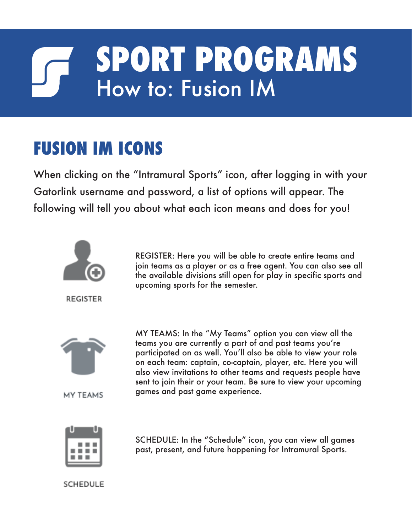## **SPORT PROGRAMS** How to: Fusion IM

## **FUSION IM ICONS**

When clicking on the "Intramural Sports" icon, after logging in with your Gatorlink username and password, a list of options will appear. The following will tell you about what each icon means and does for you!



**REGISTER** 

REGISTER: Here you will be able to create entire teams and join teams as a player or as a free agent. You can also see all the available divisions still open for play in specific sports and upcoming sports for the semester.



MY TEAMS

MY TEAMS: In the "My Teams" option you can view all the teams you are currently a part of and past teams you're participated on as well. You'll also be able to view your role on each team: captain, co-captain, player, etc. Here you will also view invitations to other teams and requests people have sent to join their or your team. Be sure to view your upcoming games and past game experience.



SCHEDULE: In the "Schedule" icon, you can view all games past, present, and future happening for Intramural Sports.

SCHEDULE